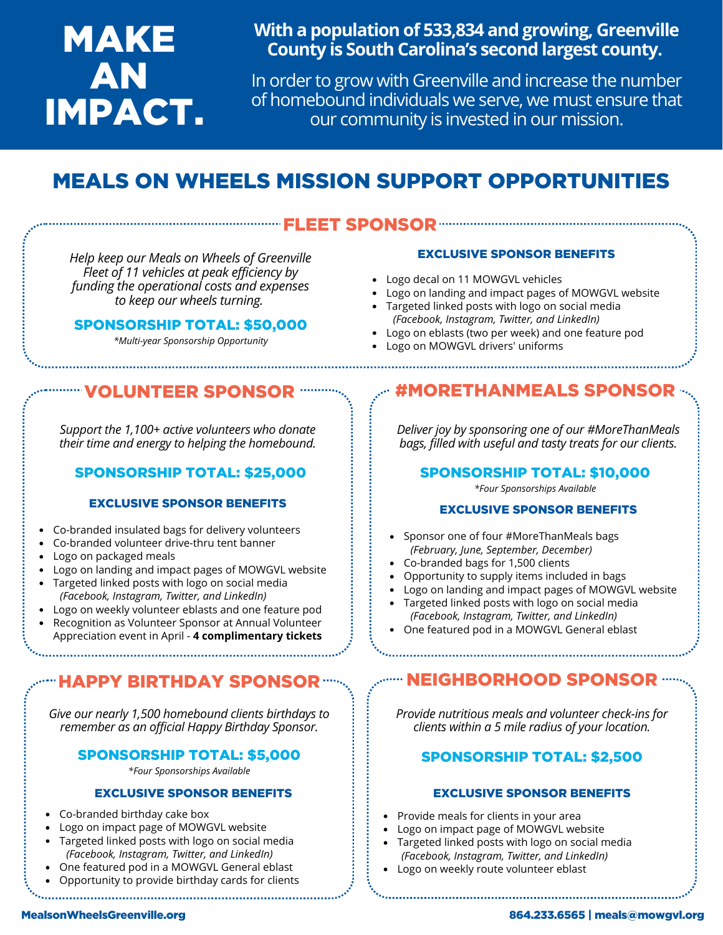# MAKE AN IMPACT.

### **With a population of 533,834 and growing, Greenville County is South Carolina's second largest county.**

In order to grow with Greenville and increase the number of homebound individuals we serve, we must ensure that our community is invested in our mission.

## MEALS ON WHEELS MISSION SUPPORT OPPORTUNITIES

### EET SPONSOR

*Help keep our Meals on Wheels of Greenville Fleet of 11 vehicles at peak efficiency by funding the operational costs and expenses to keep our wheels turning.*

#### SPONSORSHIP TOTAL: \$50,000

*\*Multi-year Sponsorship Opportunity*

#### EXCLUSIVE SPONSOR BENEFITS

- Logo decal on 11 MOWGVL vehicles
- Logo on landing and impact pages of MOWGVL website
- Targeted linked posts with logo on social media *(Facebook, Instagram, Twitter, and LinkedIn)*
- Logo on eblasts (two per week) and one feature pod
- Logo on MOWGVL drivers' uniforms

*Support the 1,100+ active volunteers who donate their time and energy to helping the homebound.*

### SPONSORSHIP TOTAL: \$25,000

#### EXCLUSIVE SPONSOR BENEFITS

- Co-branded insulated bags for delivery volunteers
- Co-branded volunteer drive-thru tent banner
- Logo on packaged meals
- Logo on landing and impact pages of MOWGVL website
- Targeted linked posts with logo on social media  *(Facebook, Instagram, Twitter, and LinkedIn)*
- Logo on weekly volunteer eblasts and one feature pod
- Recognition as Volunteer Sponsor at Annual Volunteer Appreciation event in April - **4 complimentary tickets**

### HAPPY BIRTHDAY SPONSOR NEIGHBORHOOD SPONSOR

*Give our nearly 1,500 homebound clients birthdays to remember as an official Happy Birthday Sponsor.*

#### SPONSORSHIP TOTAL: \$5,000

*\*Four Sponsorships Available*

#### EXCLUSIVE SPONSOR BENEFITS

- Co-branded birthday cake box
- Logo on impact page of MOWGVL website
- Targeted linked posts with logo on social media  *(Facebook, Instagram, Twitter, and LinkedIn)*
- One featured pod in a MOWGVL General eblast
- Opportunity to provide birthday cards for clients

### VOLUNTEER SPONSOR #MORETHANMEALS SPONSOR

*Deliver joy by sponsoring one of our #MoreThanMeals bags, filled with useful and tasty treats for our clients.*

SPONSORSHIP TOTAL: \$10,000

*\*Four Sponsorships Available*

#### EXCLUSIVE SPONSOR BENEFITS

- Sponsor one of four #MoreThanMeals bags *(February, June, September, December)*
- Co-branded bags for 1,500 clients
- Opportunity to supply items included in bags
- Logo on landing and impact pages of MOWGVL website
- Targeted linked posts with logo on social media  *(Facebook, Instagram, Twitter, and LinkedIn)*
- One featured pod in a MOWGVL General eblast

*Provide nutritious meals and volunteer check-ins for clients within a 5 mile radius of your location.*

#### SPONSORSHIP TOTAL: \$2,500

#### EXCLUSIVE SPONSOR BENEFITS

- Provide meals for clients in your area
- Logo on impact page of MOWGVL website
- Targeted linked posts with logo on social media  *(Facebook, Instagram, Twitter, and LinkedIn)*
- Logo on weekly route volunteer eblast

#### MealsonWheelsGreenville.org 864.233.6565 | meals@mowgvl.org